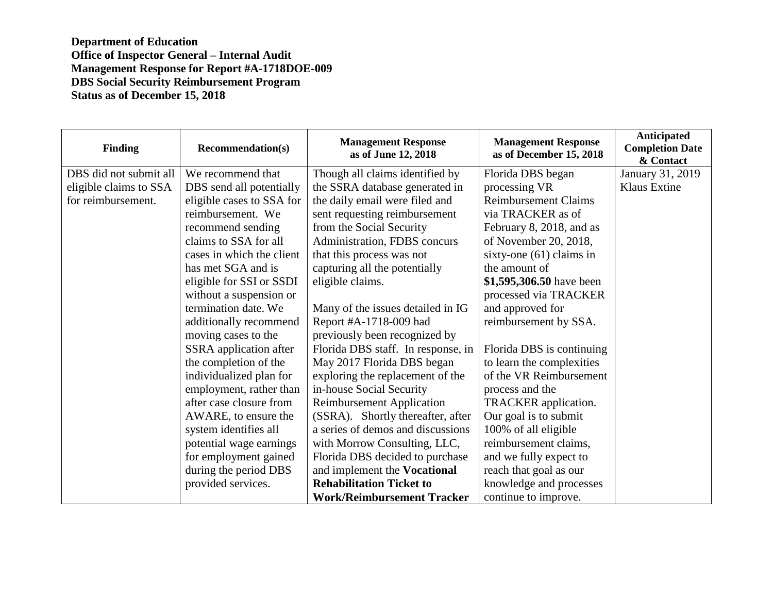| <b>Finding</b>         | <b>Recommendation(s)</b>  | <b>Management Response</b><br>as of June 12, 2018 | <b>Management Response</b><br>as of December 15, 2018 | Anticipated<br><b>Completion Date</b><br>& Contact |
|------------------------|---------------------------|---------------------------------------------------|-------------------------------------------------------|----------------------------------------------------|
| DBS did not submit all | We recommend that         | Though all claims identified by                   | Florida DBS began                                     | January 31, 2019                                   |
| eligible claims to SSA | DBS send all potentially  | the SSRA database generated in                    | processing VR                                         | <b>Klaus Extine</b>                                |
| for reimbursement.     | eligible cases to SSA for | the daily email were filed and                    | <b>Reimbursement Claims</b>                           |                                                    |
|                        | reimbursement. We         | sent requesting reimbursement                     | via TRACKER as of                                     |                                                    |
|                        | recommend sending         | from the Social Security                          | February 8, 2018, and as                              |                                                    |
|                        | claims to SSA for all     | Administration, FDBS concurs                      | of November 20, 2018,                                 |                                                    |
|                        | cases in which the client | that this process was not                         | sixty-one $(61)$ claims in                            |                                                    |
|                        | has met SGA and is        | capturing all the potentially                     | the amount of                                         |                                                    |
|                        | eligible for SSI or SSDI  | eligible claims.                                  | \$1,595,306.50 have been                              |                                                    |
|                        | without a suspension or   |                                                   | processed via TRACKER                                 |                                                    |
|                        | termination date. We      | Many of the issues detailed in IG                 | and approved for                                      |                                                    |
|                        | additionally recommend    | Report #A-1718-009 had                            | reimbursement by SSA.                                 |                                                    |
|                        | moving cases to the       | previously been recognized by                     |                                                       |                                                    |
|                        | SSRA application after    | Florida DBS staff. In response, in                | Florida DBS is continuing                             |                                                    |
|                        | the completion of the     | May 2017 Florida DBS began                        | to learn the complexities                             |                                                    |
|                        | individualized plan for   | exploring the replacement of the                  | of the VR Reimbursement                               |                                                    |
|                        | employment, rather than   | in-house Social Security                          | process and the                                       |                                                    |
|                        | after case closure from   | <b>Reimbursement Application</b>                  | TRACKER application.                                  |                                                    |
|                        | AWARE, to ensure the      | (SSRA). Shortly thereafter, after                 | Our goal is to submit                                 |                                                    |
|                        | system identifies all     | a series of demos and discussions                 | 100% of all eligible                                  |                                                    |
|                        | potential wage earnings   | with Morrow Consulting, LLC,                      | reimbursement claims,                                 |                                                    |
|                        | for employment gained     | Florida DBS decided to purchase                   | and we fully expect to                                |                                                    |
|                        | during the period DBS     | and implement the Vocational                      | reach that goal as our                                |                                                    |
|                        | provided services.        | <b>Rehabilitation Ticket to</b>                   | knowledge and processes                               |                                                    |
|                        |                           | <b>Work/Reimbursement Tracker</b>                 | continue to improve.                                  |                                                    |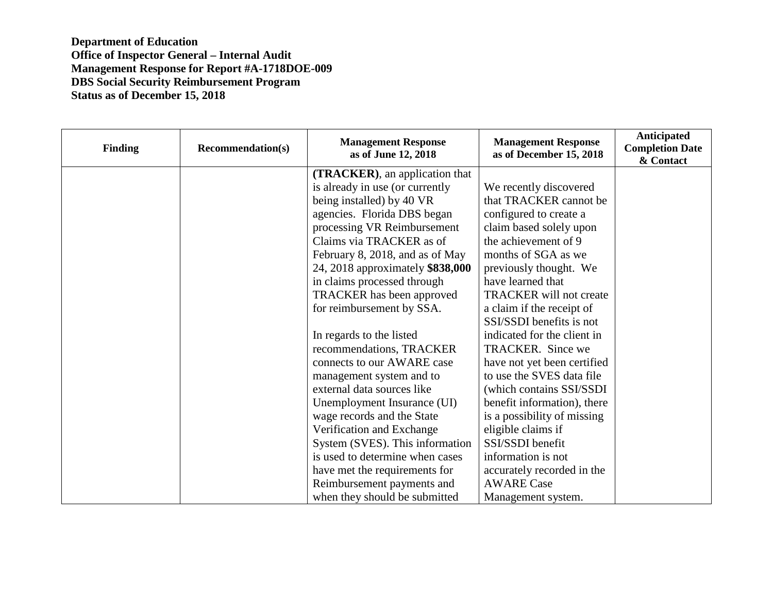| <b>Finding</b> | <b>Recommendation(s)</b> | <b>Management Response</b><br>as of June 12, 2018 | <b>Management Response</b><br>as of December 15, 2018 | Anticipated<br><b>Completion Date</b><br>& Contact |
|----------------|--------------------------|---------------------------------------------------|-------------------------------------------------------|----------------------------------------------------|
|                |                          | (TRACKER), an application that                    |                                                       |                                                    |
|                |                          | is already in use (or currently                   | We recently discovered                                |                                                    |
|                |                          | being installed) by 40 VR                         | that TRACKER cannot be                                |                                                    |
|                |                          | agencies. Florida DBS began                       | configured to create a                                |                                                    |
|                |                          | processing VR Reimbursement                       | claim based solely upon                               |                                                    |
|                |                          | Claims via TRACKER as of                          | the achievement of 9                                  |                                                    |
|                |                          | February 8, 2018, and as of May                   | months of SGA as we                                   |                                                    |
|                |                          | 24, 2018 approximately \$838,000                  | previously thought. We                                |                                                    |
|                |                          | in claims processed through                       | have learned that                                     |                                                    |
|                |                          | <b>TRACKER</b> has been approved                  | <b>TRACKER</b> will not create                        |                                                    |
|                |                          | for reimbursement by SSA.                         | a claim if the receipt of                             |                                                    |
|                |                          |                                                   | SSI/SSDI benefits is not                              |                                                    |
|                |                          | In regards to the listed                          | indicated for the client in                           |                                                    |
|                |                          | recommendations, TRACKER                          | TRACKER. Since we                                     |                                                    |
|                |                          | connects to our AWARE case                        | have not yet been certified                           |                                                    |
|                |                          | management system and to                          | to use the SVES data file                             |                                                    |
|                |                          | external data sources like                        | (which contains SSI/SSDI                              |                                                    |
|                |                          | Unemployment Insurance (UI)                       | benefit information), there                           |                                                    |
|                |                          | wage records and the State                        | is a possibility of missing                           |                                                    |
|                |                          | Verification and Exchange                         | eligible claims if                                    |                                                    |
|                |                          | System (SVES). This information                   | SSI/SSDI benefit                                      |                                                    |
|                |                          | is used to determine when cases                   | information is not                                    |                                                    |
|                |                          | have met the requirements for                     | accurately recorded in the                            |                                                    |
|                |                          | Reimbursement payments and                        | <b>AWARE Case</b>                                     |                                                    |
|                |                          | when they should be submitted                     | Management system.                                    |                                                    |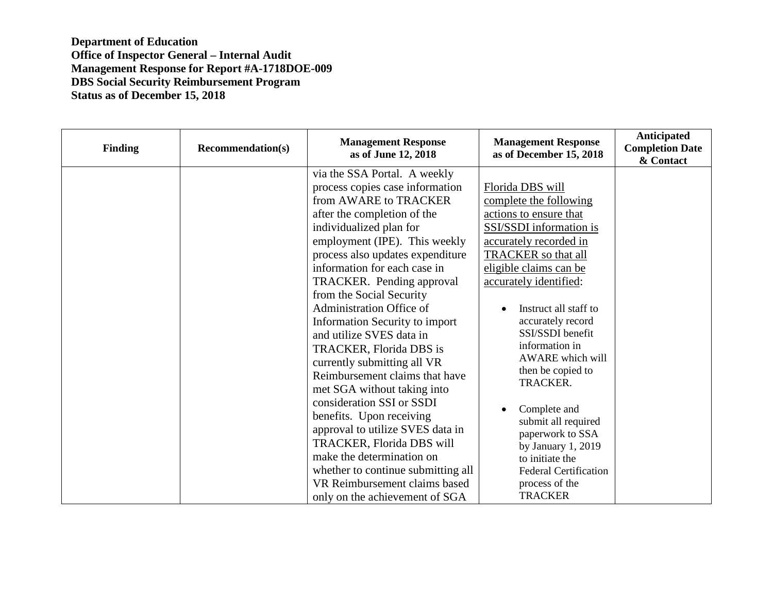| <b>Finding</b> | <b>Recommendation(s)</b> | <b>Management Response</b><br>as of June 12, 2018                                                                                                                                                                                                                                                                                                                                                                                                                                                                                                                                                                                                                                                                                                                                                                   | <b>Management Response</b><br>as of December 15, 2018                                                                                                                                                                                                                                                                                                                                                                                                                                                                 | Anticipated<br><b>Completion Date</b><br>& Contact |
|----------------|--------------------------|---------------------------------------------------------------------------------------------------------------------------------------------------------------------------------------------------------------------------------------------------------------------------------------------------------------------------------------------------------------------------------------------------------------------------------------------------------------------------------------------------------------------------------------------------------------------------------------------------------------------------------------------------------------------------------------------------------------------------------------------------------------------------------------------------------------------|-----------------------------------------------------------------------------------------------------------------------------------------------------------------------------------------------------------------------------------------------------------------------------------------------------------------------------------------------------------------------------------------------------------------------------------------------------------------------------------------------------------------------|----------------------------------------------------|
|                |                          | via the SSA Portal. A weekly<br>process copies case information<br>from AWARE to TRACKER<br>after the completion of the<br>individualized plan for<br>employment (IPE). This weekly<br>process also updates expenditure<br>information for each case in<br>TRACKER. Pending approval<br>from the Social Security<br><b>Administration Office of</b><br><b>Information Security to import</b><br>and utilize SVES data in<br>TRACKER, Florida DBS is<br>currently submitting all VR<br>Reimbursement claims that have<br>met SGA without taking into<br>consideration SSI or SSDI<br>benefits. Upon receiving<br>approval to utilize SVES data in<br>TRACKER, Florida DBS will<br>make the determination on<br>whether to continue submitting all<br>VR Reimbursement claims based<br>only on the achievement of SGA | Florida DBS will<br>complete the following<br>actions to ensure that<br>SSI/SSDI information is<br>accurately recorded in<br>TRACKER so that all<br>eligible claims can be<br>accurately identified:<br>Instruct all staff to<br>accurately record<br>SSI/SSDI benefit<br>information in<br>AWARE which will<br>then be copied to<br>TRACKER.<br>Complete and<br>submit all required<br>paperwork to SSA<br>by January 1, 2019<br>to initiate the<br><b>Federal Certification</b><br>process of the<br><b>TRACKER</b> |                                                    |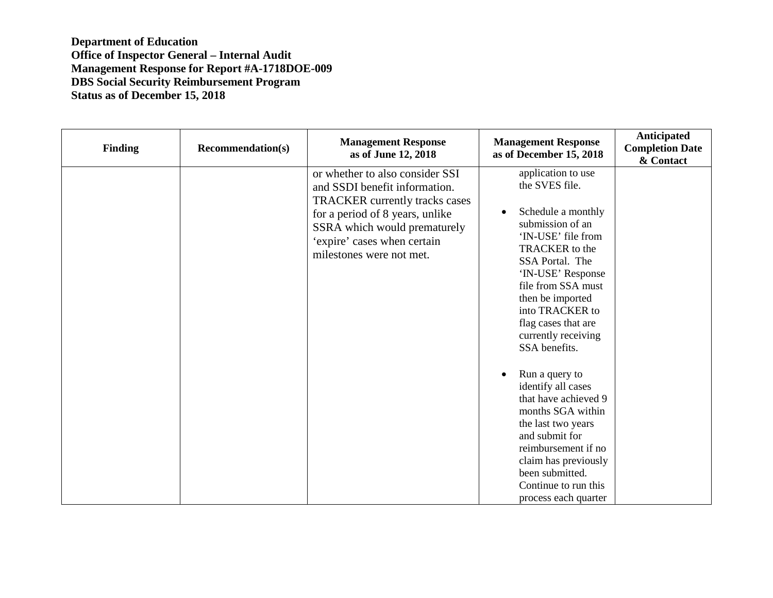| <b>Finding</b> | <b>Recommendation(s)</b> | <b>Management Response</b><br>as of June 12, 2018                                                                                                                                                                                | <b>Management Response</b><br>as of December 15, 2018                                                                                                                                                                                                                                                          | Anticipated<br><b>Completion Date</b><br>& Contact |
|----------------|--------------------------|----------------------------------------------------------------------------------------------------------------------------------------------------------------------------------------------------------------------------------|----------------------------------------------------------------------------------------------------------------------------------------------------------------------------------------------------------------------------------------------------------------------------------------------------------------|----------------------------------------------------|
|                |                          | or whether to also consider SSI<br>and SSDI benefit information.<br>TRACKER currently tracks cases<br>for a period of 8 years, unlike<br>SSRA which would prematurely<br>'expire' cases when certain<br>milestones were not met. | application to use<br>the SVES file.<br>Schedule a monthly<br>$\bullet$<br>submission of an<br>'IN-USE' file from<br><b>TRACKER</b> to the<br>SSA Portal. The<br>'IN-USE' Response<br>file from SSA must<br>then be imported<br>into TRACKER to<br>flag cases that are<br>currently receiving<br>SSA benefits. |                                                    |
|                |                          |                                                                                                                                                                                                                                  | Run a query to<br>identify all cases<br>that have achieved 9<br>months SGA within<br>the last two years<br>and submit for<br>reimbursement if no<br>claim has previously<br>been submitted.<br>Continue to run this<br>process each quarter                                                                    |                                                    |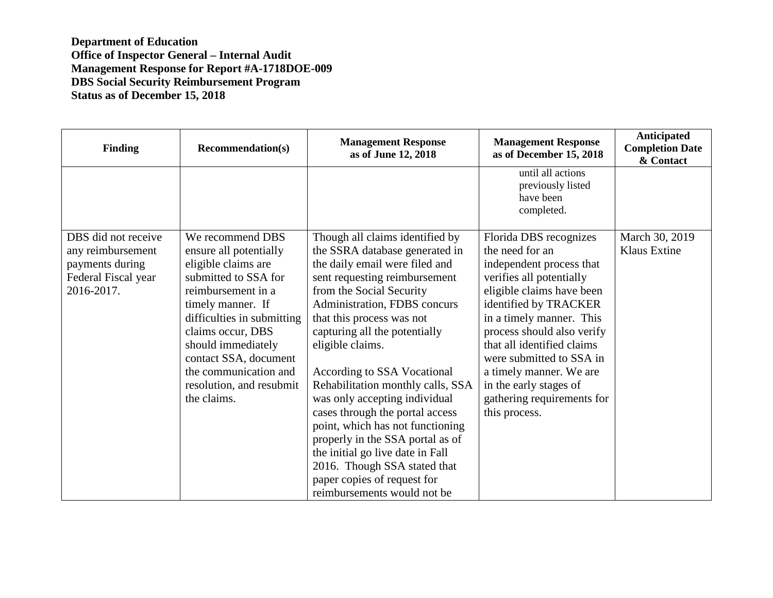| <b>Finding</b>                                                                                   | <b>Recommendation(s)</b>                                                                                                                                                                                                                                                                                   | <b>Management Response</b><br>as of June 12, 2018                                                                                                                                                                                                                                                                                                                                                                                                                                                                                                                                                                                    | <b>Management Response</b><br>as of December 15, 2018                                                                                                                                                                                                                                                                                                                           | Anticipated<br><b>Completion Date</b><br>& Contact |
|--------------------------------------------------------------------------------------------------|------------------------------------------------------------------------------------------------------------------------------------------------------------------------------------------------------------------------------------------------------------------------------------------------------------|--------------------------------------------------------------------------------------------------------------------------------------------------------------------------------------------------------------------------------------------------------------------------------------------------------------------------------------------------------------------------------------------------------------------------------------------------------------------------------------------------------------------------------------------------------------------------------------------------------------------------------------|---------------------------------------------------------------------------------------------------------------------------------------------------------------------------------------------------------------------------------------------------------------------------------------------------------------------------------------------------------------------------------|----------------------------------------------------|
|                                                                                                  |                                                                                                                                                                                                                                                                                                            |                                                                                                                                                                                                                                                                                                                                                                                                                                                                                                                                                                                                                                      | until all actions<br>previously listed<br>have been<br>completed.                                                                                                                                                                                                                                                                                                               |                                                    |
| DBS did not receive<br>any reimbursement<br>payments during<br>Federal Fiscal year<br>2016-2017. | We recommend DBS<br>ensure all potentially<br>eligible claims are<br>submitted to SSA for<br>reimbursement in a<br>timely manner. If<br>difficulties in submitting<br>claims occur, DBS<br>should immediately<br>contact SSA, document<br>the communication and<br>resolution, and resubmit<br>the claims. | Though all claims identified by<br>the SSRA database generated in<br>the daily email were filed and<br>sent requesting reimbursement<br>from the Social Security<br>Administration, FDBS concurs<br>that this process was not<br>capturing all the potentially<br>eligible claims.<br>According to SSA Vocational<br>Rehabilitation monthly calls, SSA<br>was only accepting individual<br>cases through the portal access<br>point, which has not functioning<br>properly in the SSA portal as of<br>the initial go live date in Fall<br>2016. Though SSA stated that<br>paper copies of request for<br>reimbursements would not be | Florida DBS recognizes<br>the need for an<br>independent process that<br>verifies all potentially<br>eligible claims have been<br>identified by TRACKER<br>in a timely manner. This<br>process should also verify<br>that all identified claims<br>were submitted to SSA in<br>a timely manner. We are<br>in the early stages of<br>gathering requirements for<br>this process. | March 30, 2019<br>Klaus Extine                     |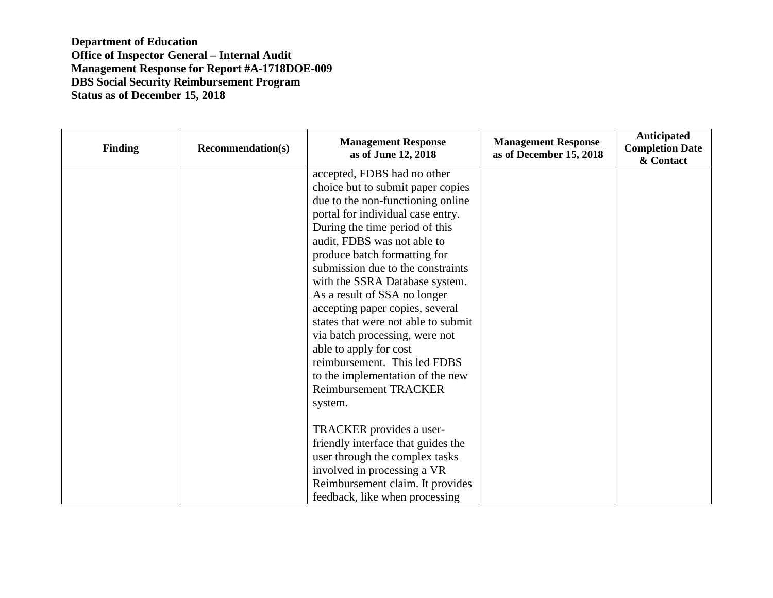| <b>Finding</b> | <b>Recommendation(s)</b> | <b>Management Response</b><br>as of June 12, 2018 | <b>Management Response</b><br>as of December 15, 2018 | Anticipated<br><b>Completion Date</b><br>& Contact |
|----------------|--------------------------|---------------------------------------------------|-------------------------------------------------------|----------------------------------------------------|
|                |                          | accepted, FDBS had no other                       |                                                       |                                                    |
|                |                          | choice but to submit paper copies                 |                                                       |                                                    |
|                |                          | due to the non-functioning online                 |                                                       |                                                    |
|                |                          | portal for individual case entry.                 |                                                       |                                                    |
|                |                          | During the time period of this                    |                                                       |                                                    |
|                |                          | audit, FDBS was not able to                       |                                                       |                                                    |
|                |                          | produce batch formatting for                      |                                                       |                                                    |
|                |                          | submission due to the constraints                 |                                                       |                                                    |
|                |                          | with the SSRA Database system.                    |                                                       |                                                    |
|                |                          | As a result of SSA no longer                      |                                                       |                                                    |
|                |                          | accepting paper copies, several                   |                                                       |                                                    |
|                |                          | states that were not able to submit               |                                                       |                                                    |
|                |                          | via batch processing, were not                    |                                                       |                                                    |
|                |                          | able to apply for cost                            |                                                       |                                                    |
|                |                          | reimbursement. This led FDBS                      |                                                       |                                                    |
|                |                          | to the implementation of the new                  |                                                       |                                                    |
|                |                          | <b>Reimbursement TRACKER</b>                      |                                                       |                                                    |
|                |                          | system.                                           |                                                       |                                                    |
|                |                          |                                                   |                                                       |                                                    |
|                |                          | TRACKER provides a user-                          |                                                       |                                                    |
|                |                          | friendly interface that guides the                |                                                       |                                                    |
|                |                          | user through the complex tasks                    |                                                       |                                                    |
|                |                          | involved in processing a VR                       |                                                       |                                                    |
|                |                          | Reimbursement claim. It provides                  |                                                       |                                                    |
|                |                          | feedback, like when processing                    |                                                       |                                                    |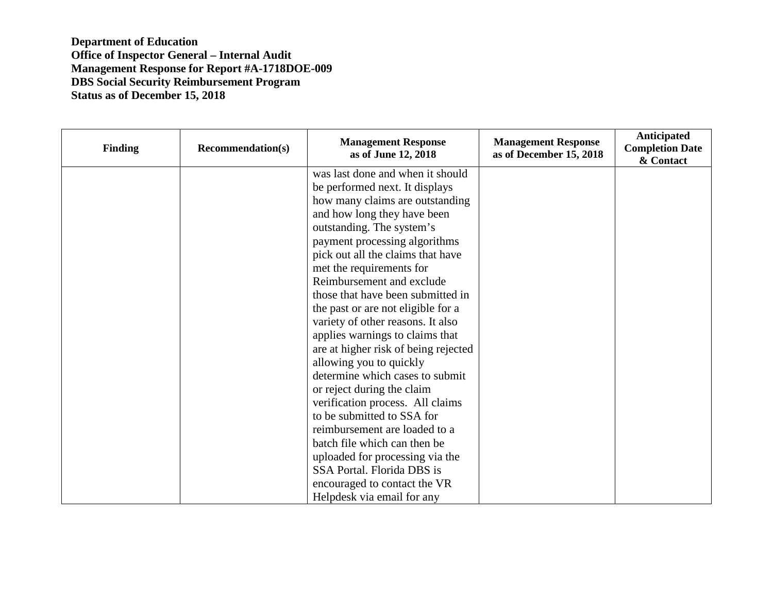| <b>Finding</b> | <b>Recommendation(s)</b> | <b>Management Response</b><br>as of June 12, 2018 | <b>Management Response</b><br>as of December 15, 2018 | Anticipated<br><b>Completion Date</b><br>& Contact |
|----------------|--------------------------|---------------------------------------------------|-------------------------------------------------------|----------------------------------------------------|
|                |                          | was last done and when it should                  |                                                       |                                                    |
|                |                          | be performed next. It displays                    |                                                       |                                                    |
|                |                          | how many claims are outstanding                   |                                                       |                                                    |
|                |                          | and how long they have been                       |                                                       |                                                    |
|                |                          | outstanding. The system's                         |                                                       |                                                    |
|                |                          | payment processing algorithms                     |                                                       |                                                    |
|                |                          | pick out all the claims that have                 |                                                       |                                                    |
|                |                          | met the requirements for                          |                                                       |                                                    |
|                |                          | Reimbursement and exclude                         |                                                       |                                                    |
|                |                          | those that have been submitted in                 |                                                       |                                                    |
|                |                          | the past or are not eligible for a                |                                                       |                                                    |
|                |                          | variety of other reasons. It also                 |                                                       |                                                    |
|                |                          | applies warnings to claims that                   |                                                       |                                                    |
|                |                          | are at higher risk of being rejected              |                                                       |                                                    |
|                |                          | allowing you to quickly                           |                                                       |                                                    |
|                |                          | determine which cases to submit                   |                                                       |                                                    |
|                |                          | or reject during the claim                        |                                                       |                                                    |
|                |                          | verification process. All claims                  |                                                       |                                                    |
|                |                          | to be submitted to SSA for                        |                                                       |                                                    |
|                |                          | reimbursement are loaded to a                     |                                                       |                                                    |
|                |                          | batch file which can then be                      |                                                       |                                                    |
|                |                          | uploaded for processing via the                   |                                                       |                                                    |
|                |                          | SSA Portal. Florida DBS is                        |                                                       |                                                    |
|                |                          | encouraged to contact the VR                      |                                                       |                                                    |
|                |                          | Helpdesk via email for any                        |                                                       |                                                    |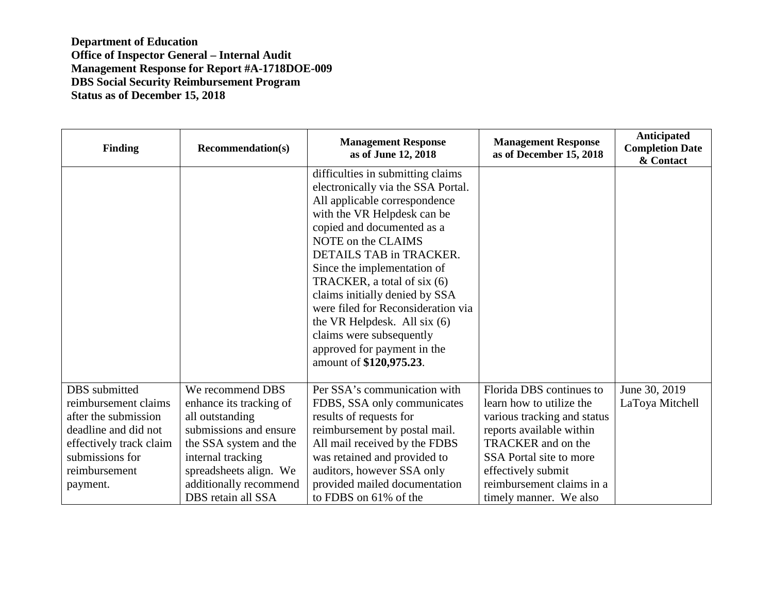| <b>Finding</b>                                                                                                                                                   | <b>Recommendation(s)</b>                                                                                                                                                                                          | <b>Management Response</b><br>as of June 12, 2018                                                                                                                                                                                                                                                                                                                                                                                                                                    | <b>Management Response</b><br>as of December 15, 2018                                                                                                                                                                                         | Anticipated<br><b>Completion Date</b><br>& Contact |
|------------------------------------------------------------------------------------------------------------------------------------------------------------------|-------------------------------------------------------------------------------------------------------------------------------------------------------------------------------------------------------------------|--------------------------------------------------------------------------------------------------------------------------------------------------------------------------------------------------------------------------------------------------------------------------------------------------------------------------------------------------------------------------------------------------------------------------------------------------------------------------------------|-----------------------------------------------------------------------------------------------------------------------------------------------------------------------------------------------------------------------------------------------|----------------------------------------------------|
|                                                                                                                                                                  |                                                                                                                                                                                                                   | difficulties in submitting claims<br>electronically via the SSA Portal.<br>All applicable correspondence<br>with the VR Helpdesk can be<br>copied and documented as a<br>NOTE on the CLAIMS<br>DETAILS TAB in TRACKER.<br>Since the implementation of<br>TRACKER, a total of six (6)<br>claims initially denied by SSA<br>were filed for Reconsideration via<br>the VR Helpdesk. All six $(6)$<br>claims were subsequently<br>approved for payment in the<br>amount of \$120,975.23. |                                                                                                                                                                                                                                               |                                                    |
| DBS submitted<br>reimbursement claims<br>after the submission<br>deadline and did not<br>effectively track claim<br>submissions for<br>reimbursement<br>payment. | We recommend DBS<br>enhance its tracking of<br>all outstanding<br>submissions and ensure<br>the SSA system and the<br>internal tracking<br>spreadsheets align. We<br>additionally recommend<br>DBS retain all SSA | Per SSA's communication with<br>FDBS, SSA only communicates<br>results of requests for<br>reimbursement by postal mail.<br>All mail received by the FDBS<br>was retained and provided to<br>auditors, however SSA only<br>provided mailed documentation<br>to FDBS on 61% of the                                                                                                                                                                                                     | Florida DBS continues to<br>learn how to utilize the<br>various tracking and status<br>reports available within<br>TRACKER and on the<br>SSA Portal site to more<br>effectively submit<br>reimbursement claims in a<br>timely manner. We also | June 30, 2019<br>LaToya Mitchell                   |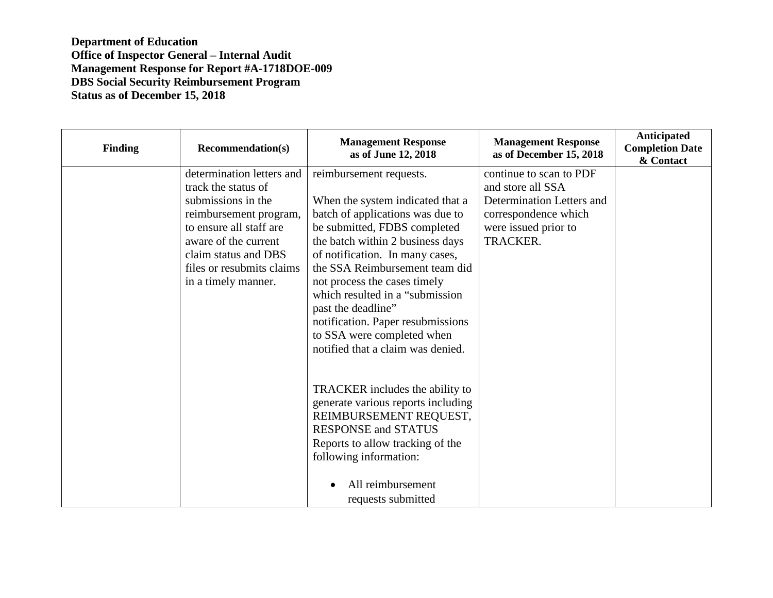| <b>Finding</b> | <b>Recommendation(s)</b>                                                                                                                                                                                                        | <b>Management Response</b><br>as of June 12, 2018                                                                                                                                                                                                                                                                                                                                                                                          | <b>Management Response</b><br>as of December 15, 2018                                                                                 | Anticipated<br><b>Completion Date</b><br>& Contact |
|----------------|---------------------------------------------------------------------------------------------------------------------------------------------------------------------------------------------------------------------------------|--------------------------------------------------------------------------------------------------------------------------------------------------------------------------------------------------------------------------------------------------------------------------------------------------------------------------------------------------------------------------------------------------------------------------------------------|---------------------------------------------------------------------------------------------------------------------------------------|----------------------------------------------------|
|                | determination letters and<br>track the status of<br>submissions in the<br>reimbursement program,<br>to ensure all staff are<br>aware of the current<br>claim status and DBS<br>files or resubmits claims<br>in a timely manner. | reimbursement requests.<br>When the system indicated that a<br>batch of applications was due to<br>be submitted, FDBS completed<br>the batch within 2 business days<br>of notification. In many cases,<br>the SSA Reimbursement team did<br>not process the cases timely<br>which resulted in a "submission"<br>past the deadline"<br>notification. Paper resubmissions<br>to SSA were completed when<br>notified that a claim was denied. | continue to scan to PDF<br>and store all SSA<br>Determination Letters and<br>correspondence which<br>were issued prior to<br>TRACKER. |                                                    |
|                |                                                                                                                                                                                                                                 | TRACKER includes the ability to<br>generate various reports including<br>REIMBURSEMENT REQUEST,<br><b>RESPONSE and STATUS</b><br>Reports to allow tracking of the<br>following information:<br>All reimbursement<br>requests submitted                                                                                                                                                                                                     |                                                                                                                                       |                                                    |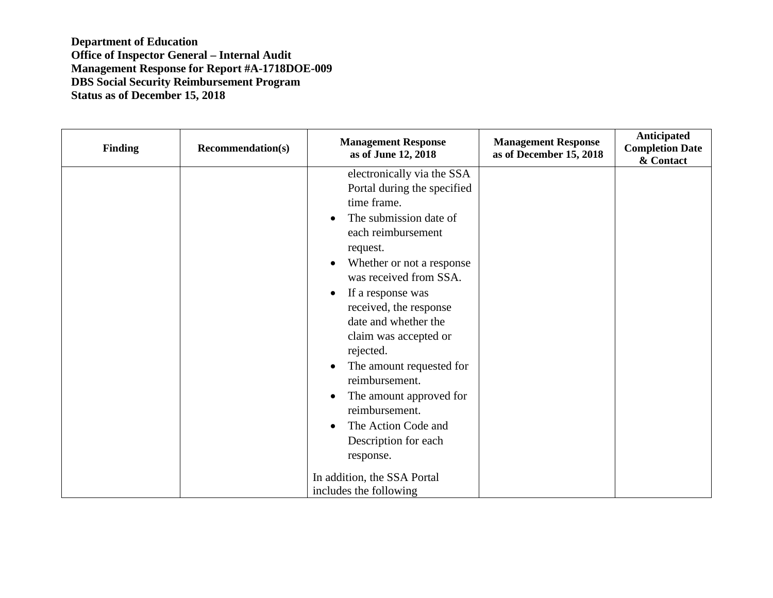| Finding | <b>Recommendation(s)</b> | <b>Management Response</b><br>as of June 12, 2018                                                                                                                                                                                                                                                                                                                                                                                                                                                                        | <b>Management Response</b><br>as of December 15, 2018 | Anticipated<br><b>Completion Date</b><br>& Contact |
|---------|--------------------------|--------------------------------------------------------------------------------------------------------------------------------------------------------------------------------------------------------------------------------------------------------------------------------------------------------------------------------------------------------------------------------------------------------------------------------------------------------------------------------------------------------------------------|-------------------------------------------------------|----------------------------------------------------|
|         |                          | electronically via the SSA<br>Portal during the specified<br>time frame.<br>The submission date of<br>each reimbursement<br>request.<br>Whether or not a response<br>was received from SSA.<br>If a response was<br>received, the response<br>date and whether the<br>claim was accepted or<br>rejected.<br>The amount requested for<br>reimbursement.<br>The amount approved for<br>reimbursement.<br>The Action Code and<br>Description for each<br>response.<br>In addition, the SSA Portal<br>includes the following |                                                       |                                                    |
|         |                          |                                                                                                                                                                                                                                                                                                                                                                                                                                                                                                                          |                                                       |                                                    |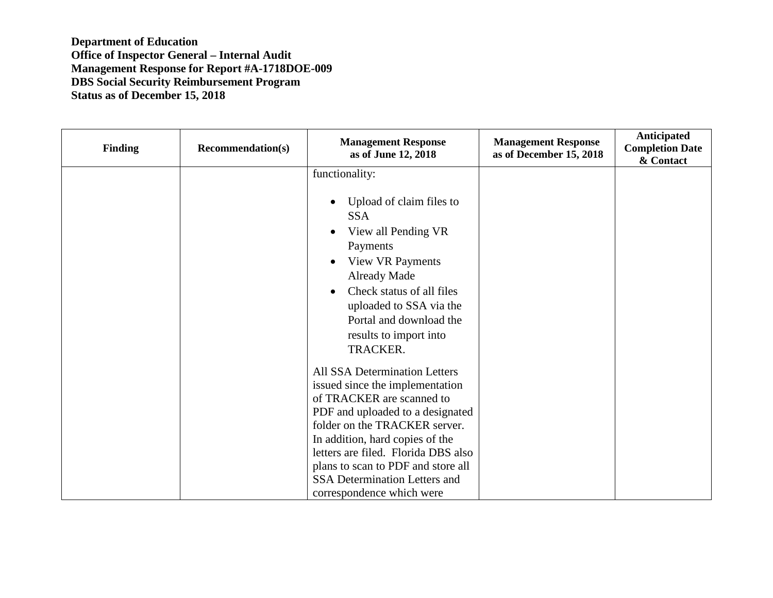| <b>Finding</b> | <b>Recommendation(s)</b> | <b>Management Response</b><br>as of June 12, 2018                                                                                                                                                                                                                                                                                                | <b>Management Response</b><br>as of December 15, 2018 | Anticipated<br><b>Completion Date</b><br>& Contact |
|----------------|--------------------------|--------------------------------------------------------------------------------------------------------------------------------------------------------------------------------------------------------------------------------------------------------------------------------------------------------------------------------------------------|-------------------------------------------------------|----------------------------------------------------|
|                |                          | functionality:                                                                                                                                                                                                                                                                                                                                   |                                                       |                                                    |
|                |                          | Upload of claim files to<br><b>SSA</b><br>View all Pending VR<br>Payments<br><b>View VR Payments</b><br><b>Already Made</b><br>Check status of all files<br>uploaded to SSA via the<br>Portal and download the<br>results to import into<br><b>TRACKER.</b>                                                                                      |                                                       |                                                    |
|                |                          | All SSA Determination Letters<br>issued since the implementation<br>of TRACKER are scanned to<br>PDF and uploaded to a designated<br>folder on the TRACKER server.<br>In addition, hard copies of the<br>letters are filed. Florida DBS also<br>plans to scan to PDF and store all<br>SSA Determination Letters and<br>correspondence which were |                                                       |                                                    |